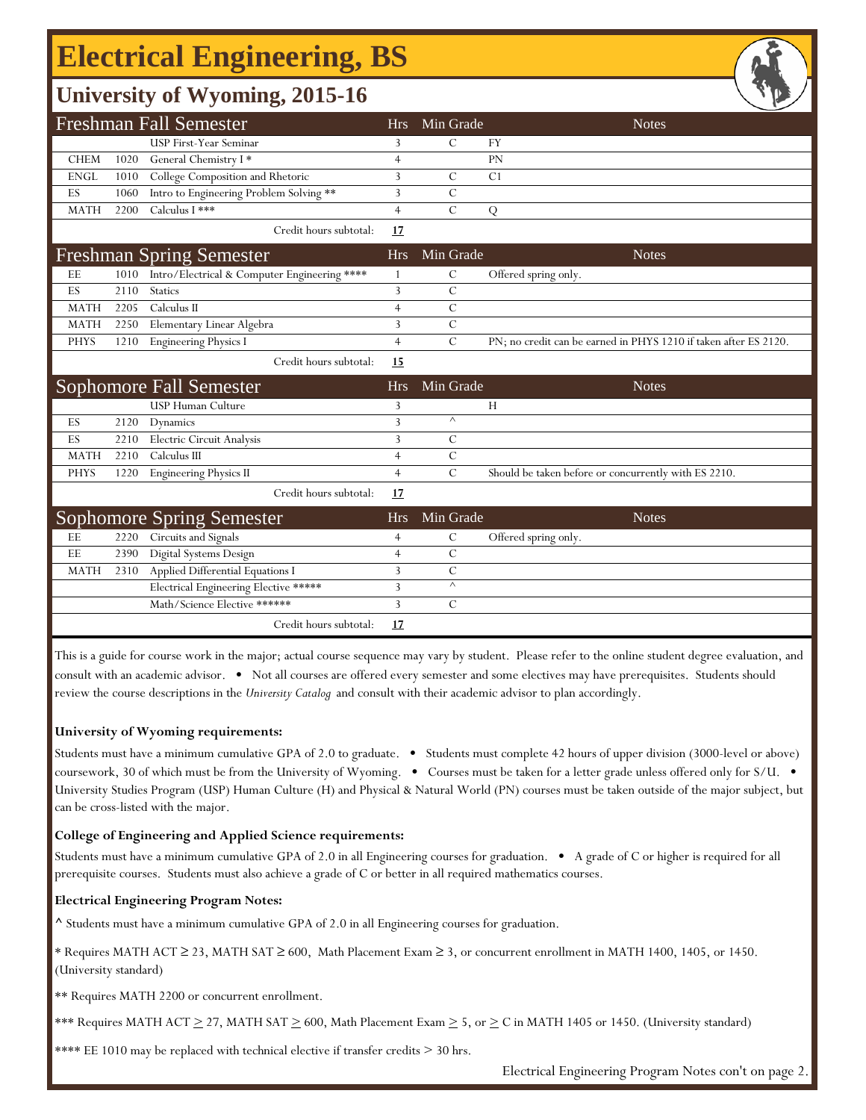## **Electrical Engineering, BS**

### **University of Wyoming, 2015-16**

|             |      | <b>Freshman Fall Semester</b>                | <b>Hrs</b>     | Min Grade     | <b>Notes</b>                                                     |
|-------------|------|----------------------------------------------|----------------|---------------|------------------------------------------------------------------|
|             |      | <b>USP First-Year Seminar</b>                | 3              | $\mathcal{C}$ | <b>FY</b>                                                        |
| <b>CHEM</b> | 1020 | General Chemistry I*                         | $\overline{4}$ |               | PN                                                               |
| <b>ENGL</b> | 1010 | College Composition and Rhetoric             | 3              | $\mathcal{C}$ | C <sub>1</sub>                                                   |
| ES          | 1060 | Intro to Engineering Problem Solving **      | 3              | $\mathcal{C}$ |                                                                  |
| <b>MATH</b> | 2200 | Calculus I ***                               | $\overline{4}$ | $\mathbf C$   | Q                                                                |
|             |      | Credit hours subtotal:                       | 17             |               |                                                                  |
|             |      | <b>Freshman Spring Semester</b>              | <b>Hrs</b>     | Min Grade     | <b>Notes</b>                                                     |
| EE          | 1010 | Intro/Electrical & Computer Engineering **** |                | $\mathcal{C}$ | Offered spring only.                                             |
| ES          | 2110 | Statics                                      | 3              | $\mathcal{C}$ |                                                                  |
| <b>MATH</b> | 2205 | Calculus II                                  | $\overline{4}$ | $\mathbf C$   |                                                                  |
| <b>MATH</b> | 2250 | Elementary Linear Algebra                    | 3              | $\mathcal{C}$ |                                                                  |
| <b>PHYS</b> | 1210 | <b>Engineering Physics I</b>                 | $\overline{4}$ | $\mathcal{C}$ | PN; no credit can be earned in PHYS 1210 if taken after ES 2120. |
|             |      | Credit hours subtotal:                       | 15             |               |                                                                  |
|             |      |                                              |                |               |                                                                  |
|             |      | Sophomore Fall Semester                      | <b>Hrs</b>     | Min Grade     | <b>Notes</b>                                                     |
|             |      | USP Human Culture                            | 3              |               | H                                                                |
| ES          | 2120 | Dynamics                                     | 3              | $\wedge$      |                                                                  |
| ES          | 2210 | Electric Circuit Analysis                    | 3              | $\mathcal{C}$ |                                                                  |
| <b>MATH</b> | 2210 | Calculus III                                 | $\overline{4}$ | $\mathbf C$   |                                                                  |
| <b>PHYS</b> | 1220 | <b>Engineering Physics II</b>                | $\overline{4}$ | $\mathbf C$   | Should be taken before or concurrently with ES 2210.             |
|             |      | Credit hours subtotal:                       | 17             |               |                                                                  |
|             |      | <b>Sophomore Spring Semester</b>             | <b>Hrs</b>     | Min Grade     | <b>Notes</b>                                                     |
| EE          | 2220 | Circuits and Signals                         | $\overline{4}$ | $\mathcal{C}$ | Offered spring only.                                             |
| EE          | 2390 | Digital Systems Design                       | $\overline{4}$ | $\mathcal{C}$ |                                                                  |
| <b>MATH</b> | 2310 | Applied Differential Equations I             | 3              | $\mathcal{C}$ |                                                                  |
|             |      | Electrical Engineering Elective *****        | 3              | $\wedge$      |                                                                  |
|             |      | Math/Science Elective ******                 | 3              | $\mathcal{C}$ |                                                                  |

This is a guide for course work in the major; actual course sequence may vary by student. Please refer to the online student degree evaluation, and consult with an academic advisor. • Not all courses are offered every semester and some electives may have prerequisites. Students should review the course descriptions in the *University Catalog* and consult with their academic advisor to plan accordingly.

#### **University of Wyoming requirements:**

Students must have a minimum cumulative GPA of 2.0 to graduate. • Students must complete 42 hours of upper division (3000-level or above) coursework, 30 of which must be from the University of Wyoming. • Courses must be taken for a letter grade unless offered only for S/U. • University Studies Program (USP) Human Culture (H) and Physical & Natural World (PN) courses must be taken outside of the major subject, but can be cross-listed with the major.

### **College of Engineering and Applied Science requirements:**

Students must have a minimum cumulative GPA of 2.0 in all Engineering courses for graduation. • A grade of C or higher is required for all prerequisite courses. Students must also achieve a grade of C or better in all required mathematics courses.

### **Electrical Engineering Program Notes:**

**^** Students must have a minimum cumulative GPA of 2.0 in all Engineering courses for graduation.

\* Requires MATH ACT ≥ 23, MATH SAT ≥ 600, Math Placement Exam ≥ 3, or concurrent enrollment in MATH 1400, 1405, or 1450. (University standard)

\*\* Requires MATH 2200 or concurrent enrollment.

\*\*\* Requires MATH ACT  $\geq$  27, MATH SAT  $\geq$  600, Math Placement Exam  $\geq$  5, or  $\geq$  C in MATH 1405 or 1450. (University standard)

\*\*\*\* EE 1010 may be replaced with technical elective if transfer credits  $> 30$  hrs.

Electrical Engineering Program Notes con't on page 2.